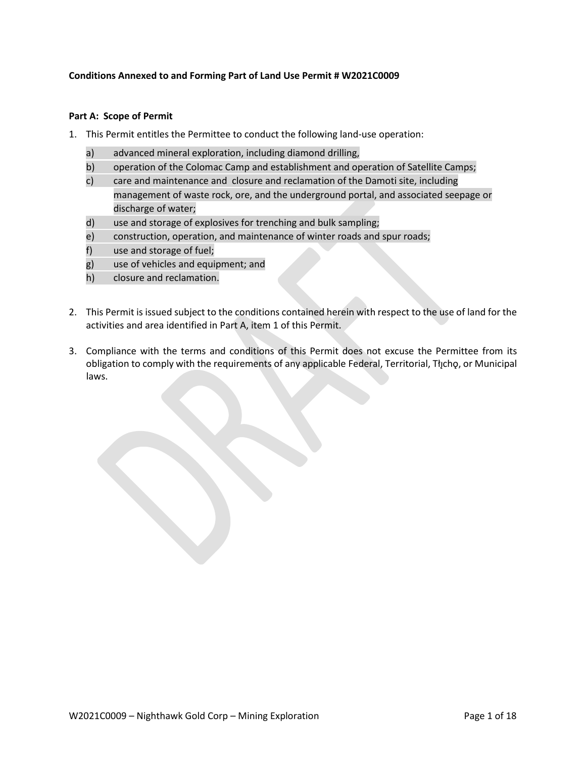# **Conditions Annexed to and Forming Part of Land Use Permit # W2021C0009**

### **Part A: Scope of Permit**

- 1. This Permit entitles the Permittee to conduct the following land-use operation:
	- a) advanced mineral exploration, including diamond drilling,
	- b) operation of the Colomac Camp and establishment and operation of Satellite Camps;
	- c) care and maintenance and closure and reclamation of the Damoti site, including management of waste rock, ore, and the underground portal, and associated seepage or discharge of water;
	- d) use and storage of explosives for trenching and bulk sampling;
	- e) construction, operation, and maintenance of winter roads and spur roads;
	- f) use and storage of fuel;
	- g) use of vehicles and equipment; and
	- h) closure and reclamation.
- 2. This Permit is issued subject to the conditions contained herein with respect to the use of land for the activities and area identified in Part A, item 1 of this Permit.
- 3. Compliance with the terms and conditions of this Permit does not excuse the Permittee from its obligation to comply with the requirements of any applicable Federal, Territorial, Tłıcho, or Municipal laws.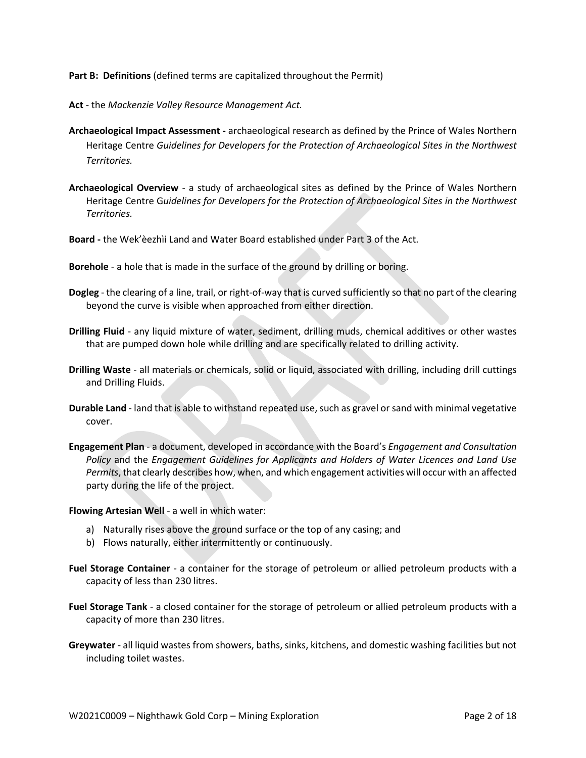**Part B: Definitions** (defined terms are capitalized throughout the Permit)

- **Act** the *Mackenzie Valley Resource Management Act.*
- **Archaeological Impact Assessment -** archaeological research as defined by the Prince of Wales Northern Heritage Centre *Guidelines for Developers for the Protection of Archaeological Sites in the Northwest Territories.*
- **Archaeological Overview**  a study of archaeological sites as defined by the Prince of Wales Northern Heritage Centre G*uidelines for Developers for the Protection of Archaeological Sites in the Northwest Territories.*
- **Board -** the Wek'èezhìi Land and Water Board established under Part 3 of the Act.
- **Borehole** a hole that is made in the surface of the ground by drilling or boring.
- **Dogleg** the clearing of a line, trail, or right-of-way that is curved sufficiently so that no part of the clearing beyond the curve is visible when approached from either direction.
- **Drilling Fluid**  any liquid mixture of water, sediment, drilling muds, chemical additives or other wastes that are pumped down hole while drilling and are specifically related to drilling activity.
- **Drilling Waste** all materials or chemicals, solid or liquid, associated with drilling, including drill cuttings and Drilling Fluids.
- **Durable Land** land that is able to withstand repeated use, such as gravel or sand with minimal vegetative cover.
- **Engagement Plan**  a document, developed in accordance with the Board's *Engagement and Consultation Policy* and the *Engagement Guidelines for Applicants and Holders of Water Licences and Land Use Permits*, that clearly describes how, when, and which engagement activities will occur with an affected party during the life of the project.

#### **Flowing Artesian Well** - a well in which water:

- a) Naturally rises above the ground surface or the top of any casing; and
- b) Flows naturally, either intermittently or continuously.
- **Fuel Storage Container** a container for the storage of petroleum or allied petroleum products with a capacity of less than 230 litres.
- **Fuel Storage Tank**  a closed container for the storage of petroleum or allied petroleum products with a capacity of more than 230 litres.
- **Greywater** all liquid wastes from showers, baths, sinks, kitchens, and domestic washing facilities but not including toilet wastes.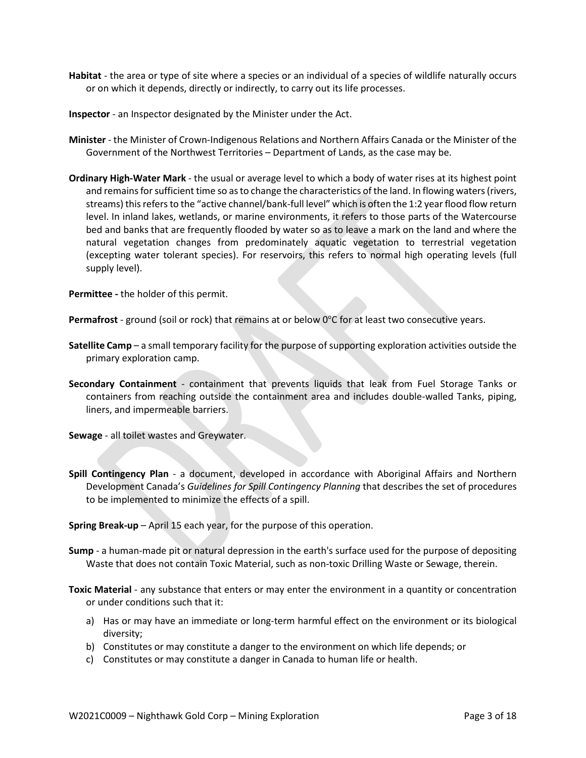- **Habitat** the area or type of site where a species or an individual of a species of wildlife naturally occurs or on which it depends, directly or indirectly, to carry out its life processes.
- **Inspector**  an Inspector designated by the Minister under the Act.
- **Minister** the Minister of Crown-Indigenous Relations and Northern Affairs Canada or the Minister of the Government of the Northwest Territories – Department of Lands, as the case may be.
- **Ordinary High-Water Mark**  the usual or average level to which a body of water rises at its highest point and remains for sufficient time so as to change the characteristics of the land. In flowing waters (rivers, streams) this refers to the "active channel/bank-full level" which is often the 1:2 year flood flow return level. In inland lakes, wetlands, or marine environments, it refers to those parts of the Watercourse bed and banks that are frequently flooded by water so as to leave a mark on the land and where the natural vegetation changes from predominately aquatic vegetation to terrestrial vegetation (excepting water tolerant species). For reservoirs, this refers to normal high operating levels (full supply level).

**Permittee -** the holder of this permit.

Permafrost - ground (soil or rock) that remains at or below 0°C for at least two consecutive years.

- **Satellite Camp**  a small temporary facility for the purpose of supporting exploration activities outside the primary exploration camp.
- **Secondary Containment** containment that prevents liquids that leak from Fuel Storage Tanks or containers from reaching outside the containment area and includes double-walled Tanks, piping, liners, and impermeable barriers.
- **Sewage** all toilet wastes and Greywater.
- **Spill Contingency Plan** a document, developed in accordance with Aboriginal Affairs and Northern Development Canada's *Guidelines for Spill Contingency Planning* that describes the set of procedures to be implemented to minimize the effects of a spill.

**Spring Break-up** – April 15 each year, for the purpose of this operation.

**Sump** - a human-made pit or natural depression in the earth's surface used for the purpose of depositing Waste that does not contain Toxic Material, such as non-toxic Drilling Waste or Sewage, therein.

**Toxic Material** - any substance that enters or may enter the environment in a quantity or concentration or under conditions such that it:

- a) Has or may have an immediate or long-term harmful effect on the environment or its biological diversity;
- b) Constitutes or may constitute a danger to the environment on which life depends; or
- c) Constitutes or may constitute a danger in Canada to human life or health.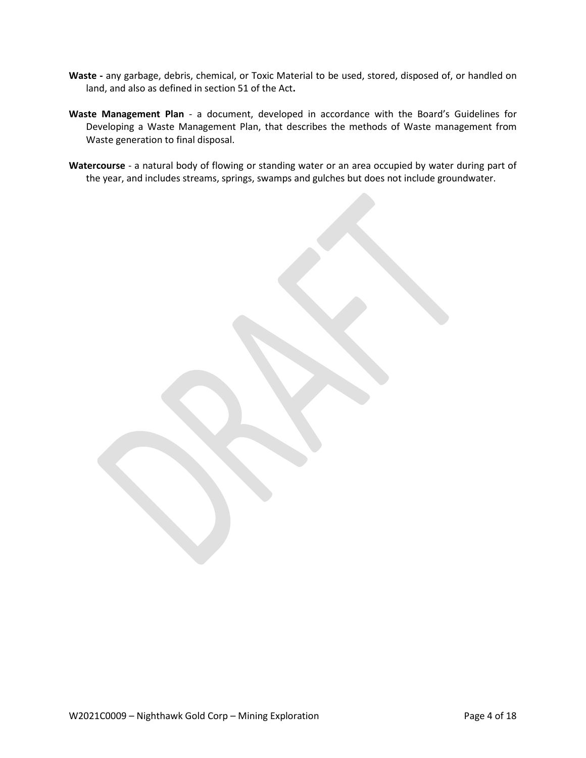- **Waste -** any garbage, debris, chemical, or Toxic Material to be used, stored, disposed of, or handled on land, and also as defined in section 51 of the Act**.**
- **Waste Management Plan** a document, developed in accordance with the Board's Guidelines for Developing a Waste Management Plan, that describes the methods of Waste management from Waste generation to final disposal.
- **Watercourse** a natural body of flowing or standing water or an area occupied by water during part of the year, and includes streams, springs, swamps and gulches but does not include groundwater.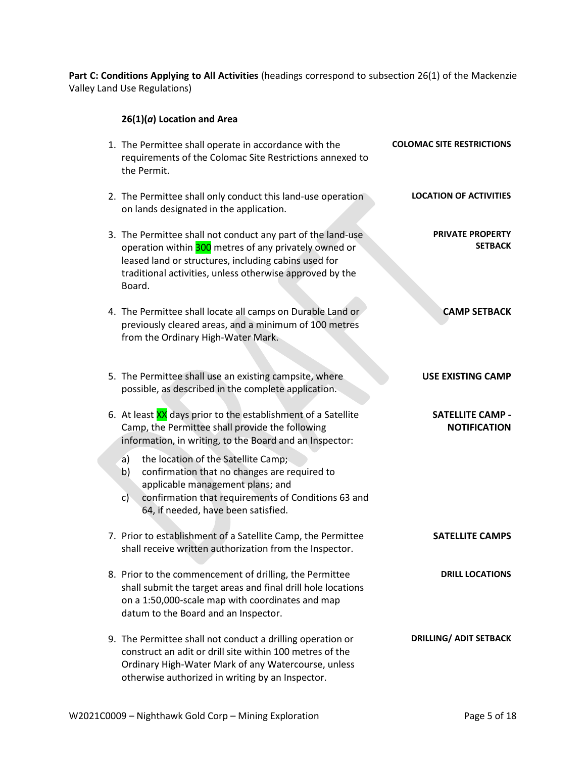**Part C: Conditions Applying to All Activities** (headings correspond to subsection 26(1) of the Mackenzie Valley Land Use Regulations)

# **26(1)(***a***) Location and Area**

1. The Permittee shall operate in accordance with the requirements of the Colomac Site Restrictions annexed to the Permit. **COLOMAC SITE RESTRICTIONS** 2. The Permittee shall only conduct this land-use operation on lands designated in the application. **LOCATION OF ACTIVITIES** 3. The Permittee shall not conduct any part of the land-use operation within 300 metres of any privately owned or leased land or structures, including cabins used for traditional activities, unless otherwise approved by the Board. **PRIVATE PROPERTY SETBACK** 4. The Permittee shall locate all camps on Durable Land or previously cleared areas, and a minimum of 100 metres from the Ordinary High-Water Mark. **CAMP SETBACK** 5. The Permittee shall use an existing campsite, where possible, as described in the complete application. **USE EXISTING CAMP** 6. At least XX days prior to the establishment of a Satellite Camp, the Permittee shall provide the following information, in writing, to the Board and an Inspector: a) the location of the Satellite Camp; b) confirmation that no changes are required to applicable management plans; and c) confirmation that requirements of Conditions 63 and 64, if needed, have been satisfied. **SATELLITE CAMP - NOTIFICATION** 7. Prior to establishment of a Satellite Camp, the Permittee shall receive written authorization from the Inspector. **SATELLITE CAMPS** 8. Prior to the commencement of drilling, the Permittee shall submit the target areas and final drill hole locations on a 1:50,000-scale map with coordinates and map datum to the Board and an Inspector. **DRILL LOCATIONS** 9. The Permittee shall not conduct a drilling operation or construct an adit or drill site within 100 metres of the Ordinary High-Water Mark of any Watercourse, unless otherwise authorized in writing by an Inspector. **DRILLING/ ADIT SETBACK**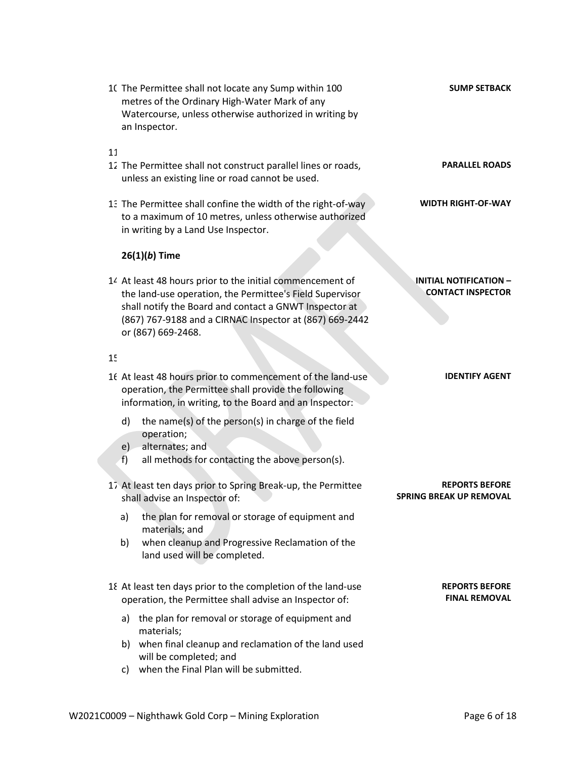10 The Permittee shall not locate any Sump within 100 metres of the Ordinary High-Water Mark of any Watercourse, unless otherwise authorized in writing by an Inspector.

# 11

- 12 The Permittee shall not construct parallel lines or roads, unless an existing line or road cannot be used.
- 13 The Permittee shall confine the width of the right-of-way to a maximum of 10 metres, unless otherwise authorized in writing by a Land Use Inspector.

# **26(1)(***b***) Time**

14 At least 48 hours prior to the initial commencement of the land-use operation, the Permittee's Field Supervisor shall notify the Board and contact a GNWT Inspector at (867) 767-9188 and a CIRNAC Inspector at (867) 669-2442 or (867) 669-2468.

# 15

- 16 At least 48 hours prior to commencement of the land-use operation, the Permittee shall provide the following information, in writing, to the Board and an Inspector:
	- d) the name(s) of the person(s) in charge of the field operation;
	- e) alternates; and
	- f) all methods for contacting the above person(s).
- 17 At least ten days prior to Spring Break-up, the Permittee shall advise an Inspector of:
	- a) the plan for removal or storage of equipment and materials; and
	- b) when cleanup and Progressive Reclamation of the land used will be completed.
- 18 At least ten days prior to the completion of the land-use operation, the Permittee shall advise an Inspector of:
	- a) the plan for removal or storage of equipment and materials;
	- b) when final cleanup and reclamation of the land used will be completed; and
	- c) when the Final Plan will be submitted.

# **REPORTS BEFORE SPRING BREAK UP REMOVAL**

**SUMP SETBACK**

**PARALLEL ROADS**

**WIDTH RIGHT-OF-WAY**

**INITIAL NOTIFICATION – CONTACT INSPECTOR**

**IDENTIFY AGENT**

**REPORTS BEFORE FINAL REMOVAL**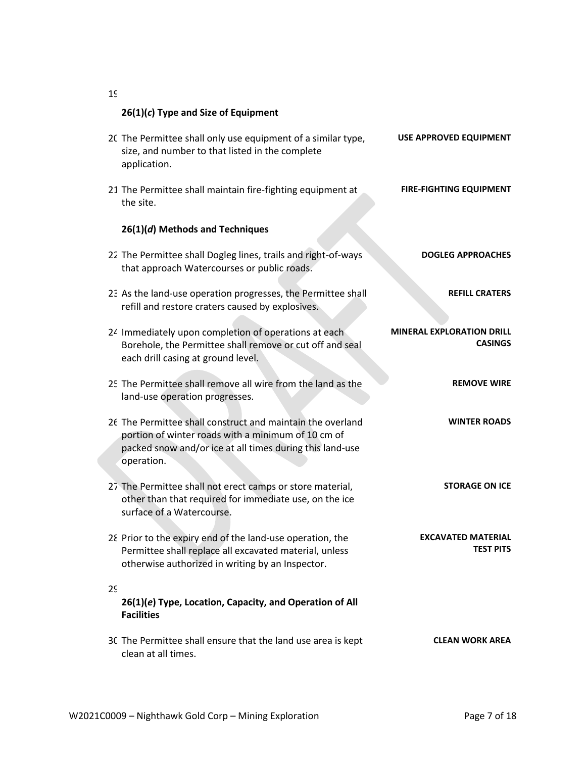|                                                    | $20(1)(t)$ Type and size of Equipment                                                                                                                                                      |           |
|----------------------------------------------------|--------------------------------------------------------------------------------------------------------------------------------------------------------------------------------------------|-----------|
| <b>USE APPROVED EQUIPMENT</b>                      | 20 The Permittee shall only use equipment of a similar type,<br>size, and number to that listed in the complete<br>application.                                                            |           |
| <b>FIRE-FIGHTING EQUIPMENT</b>                     | 21 The Permittee shall maintain fire-fighting equipment at<br>the site.                                                                                                                    |           |
|                                                    | 26(1)(d) Methods and Techniques                                                                                                                                                            |           |
| <b>DOGLEG APPROACHES</b>                           | 22 The Permittee shall Dogleg lines, trails and right-of-ways<br>that approach Watercourses or public roads.                                                                               |           |
| <b>REFILL CRATERS</b>                              | 23 As the land-use operation progresses, the Permittee shall<br>refill and restore craters caused by explosives.                                                                           |           |
| <b>MINERAL EXPLORATION DRILL</b><br><b>CASINGS</b> | 24 Immediately upon completion of operations at each<br>Borehole, the Permittee shall remove or cut off and seal<br>each drill casing at ground level.                                     |           |
| <b>REMOVE WIRE</b>                                 | 25 The Permittee shall remove all wire from the land as the<br>land-use operation progresses.                                                                                              |           |
| <b>WINTER ROADS</b>                                | 26 The Permittee shall construct and maintain the overland<br>portion of winter roads with a minimum of 10 cm of<br>packed snow and/or ice at all times during this land-use<br>operation. |           |
| <b>STORAGE ON ICE</b>                              | 27 The Permittee shall not erect camps or store material,<br>other than that required for immediate use, on the ice<br>surface of a Watercourse.                                           |           |
| <b>EXCAVATED MATERIAL</b><br><b>TEST PITS</b>      | 28 Prior to the expiry end of the land-use operation, the<br>Permittee shall replace all excavated material, unless<br>otherwise authorized in writing by an Inspector.                    |           |
|                                                    | 26(1)(e) Type, Location, Capacity, and Operation of All<br><b>Facilities</b>                                                                                                               | <b>29</b> |
| <b>CLEAN WORK AREA</b>                             | 30 The Permittee shall ensure that the land use area is kept<br>clean at all times.                                                                                                        |           |

# $1<sup>c</sup>$

# **26(1)(***c***) Type and Size of Equipment**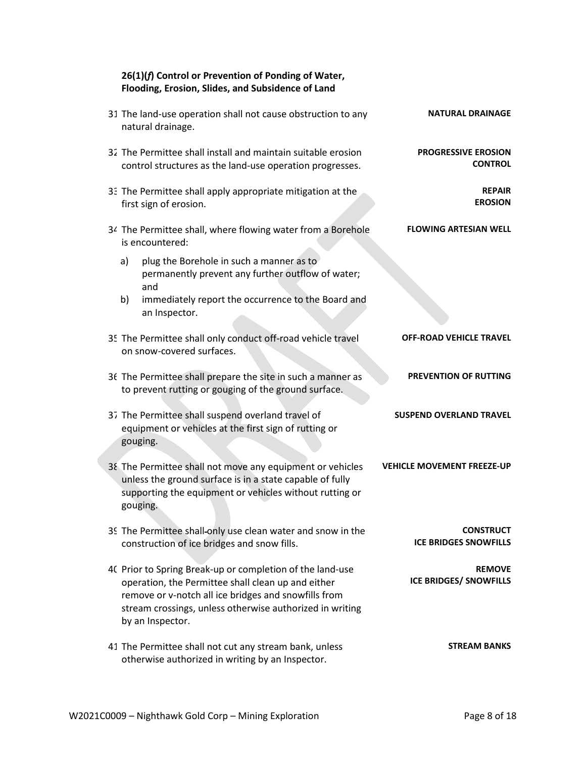|                                                  | 26(1)(f) Control or Prevention of Ponding of Water,<br>Flooding, Erosion, Slides, and Subsidence of Land                                                                                                                                                |  |
|--------------------------------------------------|---------------------------------------------------------------------------------------------------------------------------------------------------------------------------------------------------------------------------------------------------------|--|
| <b>NATURAL DRAINAGE</b>                          | 31 The land-use operation shall not cause obstruction to any<br>natural drainage.                                                                                                                                                                       |  |
| <b>PROGRESSIVE EROSION</b><br><b>CONTROL</b>     | 32 The Permittee shall install and maintain suitable erosion<br>control structures as the land-use operation progresses.                                                                                                                                |  |
| <b>REPAIR</b><br><b>EROSION</b>                  | 33 The Permittee shall apply appropriate mitigation at the<br>first sign of erosion.                                                                                                                                                                    |  |
| <b>FLOWING ARTESIAN WELL</b>                     | 34 The Permittee shall, where flowing water from a Borehole<br>is encountered:                                                                                                                                                                          |  |
|                                                  | plug the Borehole in such a manner as to<br>a)<br>permanently prevent any further outflow of water;<br>and                                                                                                                                              |  |
|                                                  | b)<br>immediately report the occurrence to the Board and<br>an Inspector.                                                                                                                                                                               |  |
| <b>OFF-ROAD VEHICLE TRAVEL</b>                   | 35 The Permittee shall only conduct off-road vehicle travel<br>on snow-covered surfaces.                                                                                                                                                                |  |
| <b>PREVENTION OF RUTTING</b>                     | 36 The Permittee shall prepare the site in such a manner as<br>to prevent rutting or gouging of the ground surface.                                                                                                                                     |  |
| <b>SUSPEND OVERLAND TRAVEL</b>                   | 37 The Permittee shall suspend overland travel of<br>equipment or vehicles at the first sign of rutting or<br>gouging.                                                                                                                                  |  |
| <b>VEHICLE MOVEMENT FREEZE-UP</b>                | 38 The Permittee shall not move any equipment or vehicles<br>unless the ground surface is in a state capable of fully<br>supporting the equipment or vehicles without rutting or<br>gouging.                                                            |  |
| <b>CONSTRUCT</b><br><b>ICE BRIDGES SNOWFILLS</b> | 39 The Permittee shall-only use clean water and snow in the<br>construction of ice bridges and snow fills.                                                                                                                                              |  |
| <b>REMOVE</b><br><b>ICE BRIDGES/ SNOWFILLS</b>   | 40 Prior to Spring Break-up or completion of the land-use<br>operation, the Permittee shall clean up and either<br>remove or v-notch all ice bridges and snowfills from<br>stream crossings, unless otherwise authorized in writing<br>by an Inspector. |  |
| <b>STREAM BANKS</b>                              | 41 The Permittee shall not cut any stream bank, unless<br>otherwise authorized in writing by an Inspector.                                                                                                                                              |  |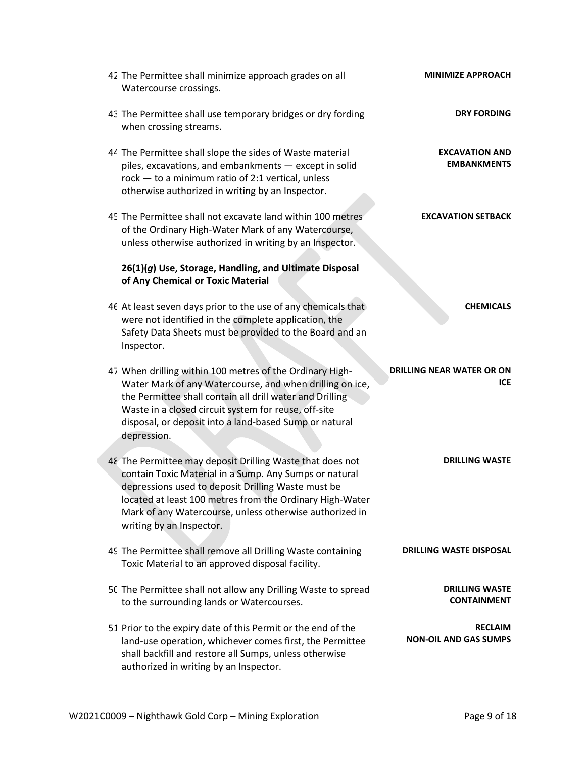| <b>MINIMIZE APPROACH</b>                    | 42 The Permittee shall minimize approach grades on all<br>Watercourse crossings.                                                                                                                                                                                                                                             |  |
|---------------------------------------------|------------------------------------------------------------------------------------------------------------------------------------------------------------------------------------------------------------------------------------------------------------------------------------------------------------------------------|--|
| <b>DRY FORDING</b>                          | 43 The Permittee shall use temporary bridges or dry fording<br>when crossing streams.                                                                                                                                                                                                                                        |  |
| <b>EXCAVATION AND</b><br><b>EMBANKMENTS</b> | 44 The Permittee shall slope the sides of Waste material<br>piles, excavations, and embankments - except in solid<br>rock - to a minimum ratio of 2:1 vertical, unless<br>otherwise authorized in writing by an Inspector.                                                                                                   |  |
| <b>EXCAVATION SETBACK</b>                   | 45 The Permittee shall not excavate land within 100 metres<br>of the Ordinary High-Water Mark of any Watercourse,<br>unless otherwise authorized in writing by an Inspector.                                                                                                                                                 |  |
|                                             | 26(1)(g) Use, Storage, Handling, and Ultimate Disposal<br>of Any Chemical or Toxic Material                                                                                                                                                                                                                                  |  |
| <b>CHEMICALS</b>                            | 46 At least seven days prior to the use of any chemicals that<br>were not identified in the complete application, the<br>Safety Data Sheets must be provided to the Board and an<br>Inspector.                                                                                                                               |  |
| <b>DRILLING NEAR WATER OR ON</b><br>ICE     | 47 When drilling within 100 metres of the Ordinary High-<br>Water Mark of any Watercourse, and when drilling on ice,<br>the Permittee shall contain all drill water and Drilling<br>Waste in a closed circuit system for reuse, off-site<br>disposal, or deposit into a land-based Sump or natural<br>depression.            |  |
| <b>DRILLING WASTE</b>                       | 48 The Permittee may deposit Drilling Waste that does not<br>contain Toxic Material in a Sump. Any Sumps or natural<br>depressions used to deposit Drilling Waste must be<br>located at least 100 metres from the Ordinary High-Water<br>Mark of any Watercourse, unless otherwise authorized in<br>writing by an Inspector. |  |
| <b>DRILLING WASTE DISPOSAL</b>              | 49 The Permittee shall remove all Drilling Waste containing<br>Toxic Material to an approved disposal facility.                                                                                                                                                                                                              |  |
| <b>DRILLING WASTE</b><br><b>CONTAINMENT</b> | 50 The Permittee shall not allow any Drilling Waste to spread<br>to the surrounding lands or Watercourses.                                                                                                                                                                                                                   |  |
| <b>RECLAIM</b><br>NON-OIL AND GAS SUMPS     | 51 Prior to the expiry date of this Permit or the end of the<br>land-use operation, whichever comes first, the Permittee<br>shall backfill and restore all Sumps, unless otherwise                                                                                                                                           |  |

authorized in writing by an Inspector.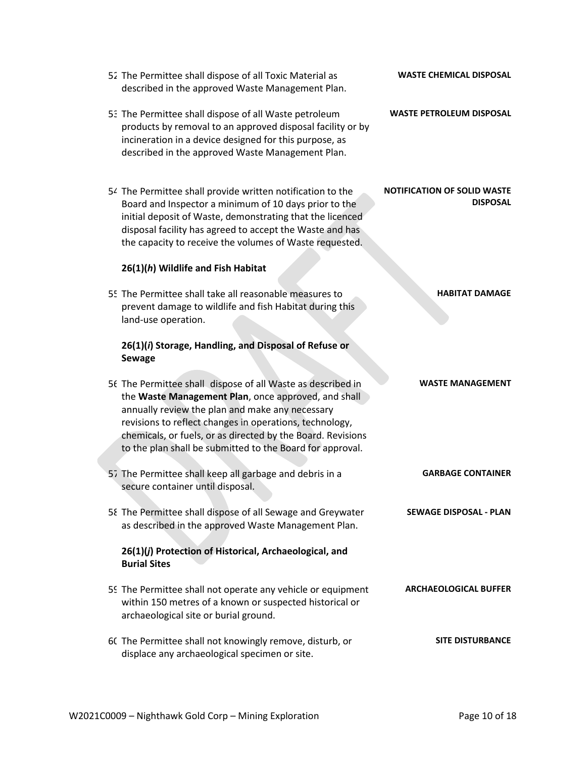| 55 The Permittee shall not operate any vehicle or equipment<br>within 150 metres of a known or suspected historical or<br>archaeological site or burial ground. | ARLHAEULUGILAL BUFFER   |
|-----------------------------------------------------------------------------------------------------------------------------------------------------------------|-------------------------|
| 60 The Permittee shall not knowingly remove, disturb, or<br>displace any archaeological specimen or site.                                                       | <b>SITE DISTURBANCE</b> |
| W2021C0009 - Nighthawk Gold Corp - Mining Exploration                                                                                                           | Page 10 of 18           |

- 52 The Permittee shall dispose of all Toxic Material as described in the approved Waste Management Plan.
- 53 The Permittee shall dispose of all Waste petroleum products by removal to an approved disposal facility or by incineration in a device designed for this purpose, as described in the approved Waste Management Plan.
- 54 The Permittee shall provide written notification to the Board and Inspector a minimum of 10 days prior to the initial deposit of Waste, demonstrating that the licenced disposal facility has agreed to accept the Waste and has the capacity to receive the volumes of Waste requested.

# **26(1)(***h***) Wildlife and Fish Habitat**

55 The Permittee shall take all reasonable measures to prevent damage to wildlife and fish Habitat during this land-use operation.

# **26(1)(***i***) Storage, Handling, and Disposal of Refuse or Sewage**

- 56 The Permittee shall dispose of all Waste as described in the **Waste Management Plan**, once approved, and shall annually review the plan and make any necessary revisions to reflect changes in operations, technology, chemicals, or fuels, or as directed by the Board. Revisions to the plan shall be submitted to the Board for approval.
- 57 The Permittee shall keep all garbage and debris in a secure container until disposal.
- 58 The Permittee shall dispose of all Sewage and Greywater as described in the approved Waste Management Plan.

# **26(1)(***j***) Protection of Historical, Archaeological, and Burial Sites**

- 59 The Permittee shall not operate any vehicle or equipment
- **ARCHAEOLOGICAL BUFFER**

# **SITE DISTURBANCE**

# **GARBAGE CONTAINER**

**WASTE MANAGEMENT**

**SEWAGE DISPOSAL - PLAN**

**HABITAT DAMAGE**

**DISPOSAL**

**WASTE PETROLEUM DISPOSAL**

**NOTIFICATION OF SOLID WASTE** 

**WASTE CHEMICAL DISPOSAL**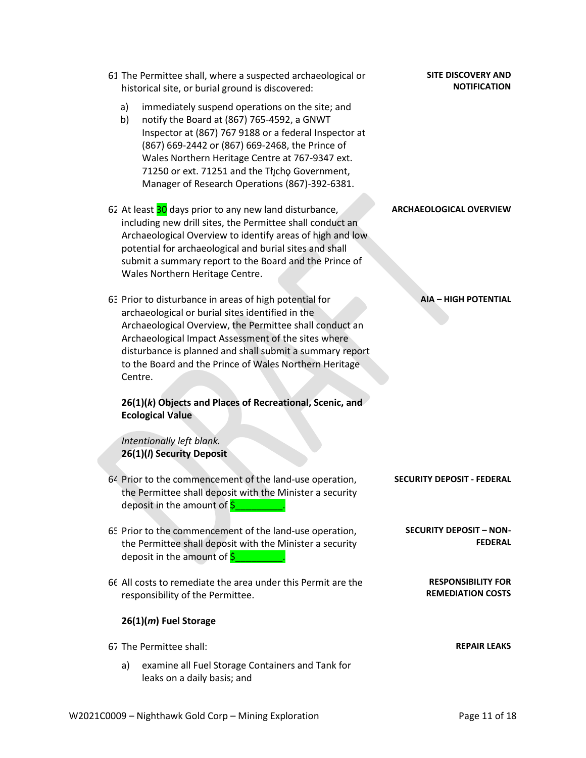- 61 The Permittee shall, where a suspected archaeological or historical site, or burial ground is discovered:
	- a) immediately suspend operations on the site; and
	- b) notify the Board at (867) 765-4592, a GNWT Inspector at (867) 767 9188 or a federal Inspector at (867) 669-2442 or (867) 669-2468, the Prince of Wales Northern Heritage Centre at 767-9347 ext. 71250 or ext. 71251 and the Thicho Government, Manager of Research Operations (867)-392-6381.
- $62$  At least  $30$  days prior to any new land disturbance, including new drill sites, the Permittee shall conduct an Archaeological Overview to identify areas of high and low potential for archaeological and burial sites and shall submit a summary report to the Board and the Prince of Wales Northern Heritage Centre.
- 63 Prior to disturbance in areas of high potential for archaeological or burial sites identified in the Archaeological Overview, the Permittee shall conduct an Archaeological Impact Assessment of the sites where disturbance is planned and shall submit a summary report to the Board and the Prince of Wales Northern Heritage Centre.

# **26(1)(***k***) Objects and Places of Recreational, Scenic, and Ecological Value**

*Intentionally left blank.* **26(1)(***l***) Security Deposit**

- 64 Prior to the commencement of the land-use operation, the Permittee shall deposit with the Minister a security deposit in the amount of  $\frac{5}{2}$
- 65 Prior to the commencement of the land-use operation, the Permittee shall deposit with the Minister a security deposit in the amount of  $\boldsymbol{\zeta}$
- 66 All costs to remediate the area under this Permit are the responsibility of the Permittee.

# **26(1)(***m***) Fuel Storage**

# 67 The Permittee shall:

a) examine all Fuel Storage Containers and Tank for leaks on a daily basis; and

#### **SITE DISCOVERY AND NOTIFICATION**

#### **ARCHAEOLOGICAL OVERVIEW**

#### **AIA – HIGH POTENTIAL**

**SECURITY DEPOSIT - FEDERAL**

**SECURITY DEPOSIT – NON-FEDERAL**

#### **RESPONSIBILITY FOR REMEDIATION COSTS**

**REPAIR LEAKS**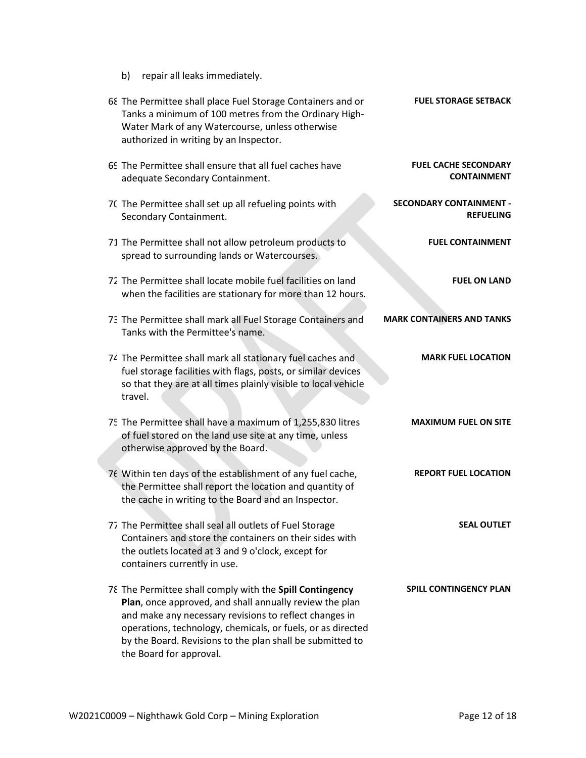b) repair all leaks immediately.

| <b>FUEL STORAGE SETBACK</b>                        | 68 The Permittee shall place Fuel Storage Containers and or<br>Tanks a minimum of 100 metres from the Ordinary High-<br>Water Mark of any Watercourse, unless otherwise<br>authorized in writing by an Inspector.                                                                                                                    |  |
|----------------------------------------------------|--------------------------------------------------------------------------------------------------------------------------------------------------------------------------------------------------------------------------------------------------------------------------------------------------------------------------------------|--|
| <b>FUEL CACHE SECONDARY</b><br><b>CONTAINMENT</b>  | 69 The Permittee shall ensure that all fuel caches have<br>adequate Secondary Containment.                                                                                                                                                                                                                                           |  |
| <b>SECONDARY CONTAINMENT -</b><br><b>REFUELING</b> | 70 The Permittee shall set up all refueling points with<br>Secondary Containment.                                                                                                                                                                                                                                                    |  |
| <b>FUEL CONTAINMENT</b>                            | 71 The Permittee shall not allow petroleum products to<br>spread to surrounding lands or Watercourses.                                                                                                                                                                                                                               |  |
| <b>FUEL ON LAND</b>                                | 72 The Permittee shall locate mobile fuel facilities on land<br>when the facilities are stationary for more than 12 hours.                                                                                                                                                                                                           |  |
| <b>MARK CONTAINERS AND TANKS</b>                   | 73 The Permittee shall mark all Fuel Storage Containers and<br>Tanks with the Permittee's name.                                                                                                                                                                                                                                      |  |
| <b>MARK FUEL LOCATION</b>                          | 74 The Permittee shall mark all stationary fuel caches and<br>fuel storage facilities with flags, posts, or similar devices<br>so that they are at all times plainly visible to local vehicle<br>travel.                                                                                                                             |  |
| <b>MAXIMUM FUEL ON SITE</b>                        | 75 The Permittee shall have a maximum of 1,255,830 litres<br>of fuel stored on the land use site at any time, unless<br>otherwise approved by the Board.                                                                                                                                                                             |  |
| <b>REPORT FUEL LOCATION</b>                        | 76 Within ten days of the establishment of any fuel cache,<br>the Permittee shall report the location and quantity of<br>the cache in writing to the Board and an Inspector.                                                                                                                                                         |  |
| <b>SEAL OUTLET</b>                                 | 77 The Permittee shall seal all outlets of Fuel Storage<br>Containers and store the containers on their sides with<br>the outlets located at 3 and 9 o'clock, except for<br>containers currently in use.                                                                                                                             |  |
| <b>SPILL CONTINGENCY PLAN</b>                      | 78 The Permittee shall comply with the Spill Contingency<br>Plan, once approved, and shall annually review the plan<br>and make any necessary revisions to reflect changes in<br>operations, technology, chemicals, or fuels, or as directed<br>by the Board. Revisions to the plan shall be submitted to<br>the Board for approval. |  |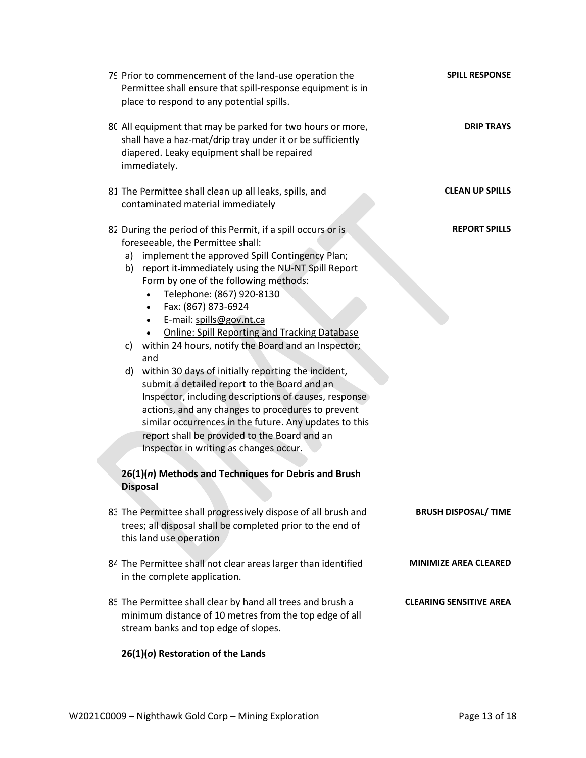| 79 Prior to commencement of the land-use operation the<br>Permittee shall ensure that spill-response equipment is in<br>place to respond to any potential spills.                                                                                                                                                                                                                                                                                                                                                                                                                                                                                                                                                                                                                                                                                                                                                                                                            | <b>SPILL RESPONSE</b>          |
|------------------------------------------------------------------------------------------------------------------------------------------------------------------------------------------------------------------------------------------------------------------------------------------------------------------------------------------------------------------------------------------------------------------------------------------------------------------------------------------------------------------------------------------------------------------------------------------------------------------------------------------------------------------------------------------------------------------------------------------------------------------------------------------------------------------------------------------------------------------------------------------------------------------------------------------------------------------------------|--------------------------------|
| 80 All equipment that may be parked for two hours or more,<br>shall have a haz-mat/drip tray under it or be sufficiently<br>diapered. Leaky equipment shall be repaired<br>immediately.                                                                                                                                                                                                                                                                                                                                                                                                                                                                                                                                                                                                                                                                                                                                                                                      | <b>DRIP TRAYS</b>              |
| 81 The Permittee shall clean up all leaks, spills, and<br>contaminated material immediately                                                                                                                                                                                                                                                                                                                                                                                                                                                                                                                                                                                                                                                                                                                                                                                                                                                                                  | <b>CLEAN UP SPILLS</b>         |
| 82 During the period of this Permit, if a spill occurs or is<br>foreseeable, the Permittee shall:<br>a) implement the approved Spill Contingency Plan;<br>b) report it-immediately using the NU-NT Spill Report<br>Form by one of the following methods:<br>Telephone: (867) 920-8130<br>$\bullet$<br>Fax: (867) 873-6924<br>$\bullet$<br>E-mail: spills@gov.nt.ca<br>$\bullet$<br><b>Online: Spill Reporting and Tracking Database</b><br>$\bullet$<br>c) within 24 hours, notify the Board and an Inspector;<br>and<br>d) within 30 days of initially reporting the incident,<br>submit a detailed report to the Board and an<br>Inspector, including descriptions of causes, response<br>actions, and any changes to procedures to prevent<br>similar occurrences in the future. Any updates to this<br>report shall be provided to the Board and an<br>Inspector in writing as changes occur.<br>26(1)(n) Methods and Techniques for Debris and Brush<br><b>Disposal</b> | <b>REPORT SPILLS</b>           |
| 83 The Permittee shall progressively dispose of all brush and<br>trees; all disposal shall be completed prior to the end of<br>this land use operation                                                                                                                                                                                                                                                                                                                                                                                                                                                                                                                                                                                                                                                                                                                                                                                                                       | <b>BRUSH DISPOSAL/ TIME</b>    |
| 84 The Permittee shall not clear areas larger than identified<br>in the complete application.                                                                                                                                                                                                                                                                                                                                                                                                                                                                                                                                                                                                                                                                                                                                                                                                                                                                                | <b>MINIMIZE AREA CLEARED</b>   |
| 85 The Permittee shall clear by hand all trees and brush a<br>minimum distance of 10 metres from the top edge of all<br>stream banks and top edge of slopes.                                                                                                                                                                                                                                                                                                                                                                                                                                                                                                                                                                                                                                                                                                                                                                                                                 | <b>CLEARING SENSITIVE AREA</b> |

# **26(1)(***o***) Restoration of the Lands**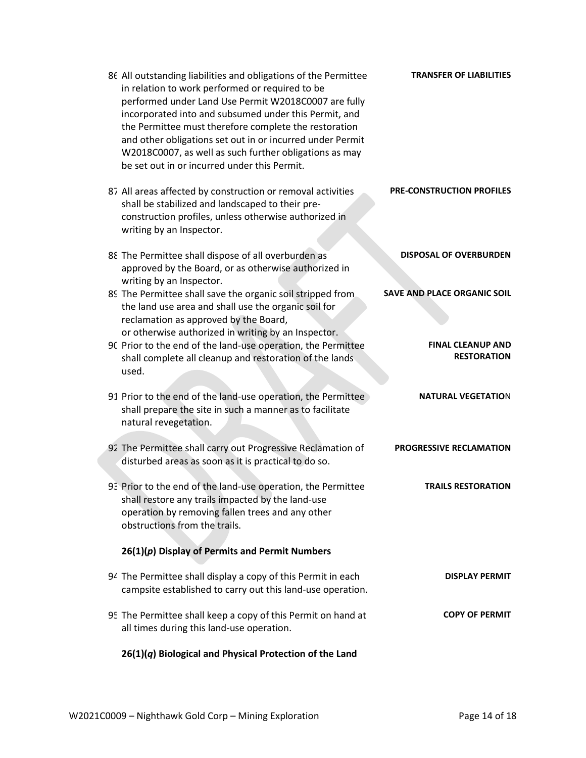| 86 All outstanding liabilities and obligations of the Permittee<br>in relation to work performed or required to be<br>performed under Land Use Permit W2018C0007 are fully<br>incorporated into and subsumed under this Permit, and<br>the Permittee must therefore complete the restoration<br>and other obligations set out in or incurred under Permit<br>W2018C0007, as well as such further obligations as may<br>be set out in or incurred under this Permit. | <b>TRANSFER OF LIABILITIES</b>                 |
|---------------------------------------------------------------------------------------------------------------------------------------------------------------------------------------------------------------------------------------------------------------------------------------------------------------------------------------------------------------------------------------------------------------------------------------------------------------------|------------------------------------------------|
| 87 All areas affected by construction or removal activities<br>shall be stabilized and landscaped to their pre-<br>construction profiles, unless otherwise authorized in<br>writing by an Inspector.                                                                                                                                                                                                                                                                | <b>PRE-CONSTRUCTION PROFILES</b>               |
| 88 The Permittee shall dispose of all overburden as<br>approved by the Board, or as otherwise authorized in<br>writing by an Inspector.                                                                                                                                                                                                                                                                                                                             | <b>DISPOSAL OF OVERBURDEN</b>                  |
| 89 The Permittee shall save the organic soil stripped from<br>the land use area and shall use the organic soil for<br>reclamation as approved by the Board,<br>or otherwise authorized in writing by an Inspector.                                                                                                                                                                                                                                                  | <b>SAVE AND PLACE ORGANIC SOIL</b>             |
| 90 Prior to the end of the land-use operation, the Permittee<br>shall complete all cleanup and restoration of the lands<br>used.                                                                                                                                                                                                                                                                                                                                    | <b>FINAL CLEANUP AND</b><br><b>RESTORATION</b> |
| 91 Prior to the end of the land-use operation, the Permittee<br>shall prepare the site in such a manner as to facilitate<br>natural revegetation.                                                                                                                                                                                                                                                                                                                   | <b>NATURAL VEGETATION</b>                      |
| 92 The Permittee shall carry out Progressive Reclamation of<br>disturbed areas as soon as it is practical to do so.                                                                                                                                                                                                                                                                                                                                                 | PROGRESSIVE RECLAMATION                        |
| 93 Prior to the end of the land-use operation, the Permittee<br>shall restore any trails impacted by the land-use<br>operation by removing fallen trees and any other<br>obstructions from the trails.                                                                                                                                                                                                                                                              | <b>TRAILS RESTORATION</b>                      |
| $26(1)(p)$ Display of Permits and Permit Numbers                                                                                                                                                                                                                                                                                                                                                                                                                    |                                                |
| 94 The Permittee shall display a copy of this Permit in each<br>campsite established to carry out this land-use operation.                                                                                                                                                                                                                                                                                                                                          | <b>DISPLAY PERMIT</b>                          |
| 95 The Permittee shall keep a copy of this Permit on hand at<br>all times during this land-use operation.                                                                                                                                                                                                                                                                                                                                                           | <b>COPY OF PERMIT</b>                          |
| 26(1)(q) Biological and Physical Protection of the Land                                                                                                                                                                                                                                                                                                                                                                                                             |                                                |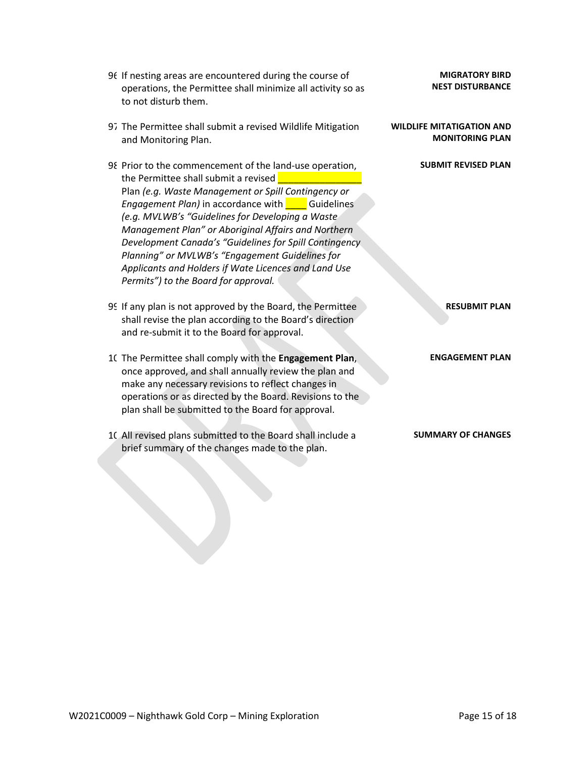- 96 If nesting areas are encountered during the course of operations, the Permittee shall minimize all activity so as to not disturb them.
- 97 The Permittee shall submit a revised Wildlife Mitigation and Monitoring Plan.
- 98 Prior to the commencement of the land-use operation, the Permittee shall submit a revised **with a** Plan *(e.g. Waste Management or Spill Contingency or Engagement Plan)* in accordance with **CO** Guidelines *(e.g. MVLWB's "Guidelines for Developing a Waste Management Plan" or Aboriginal Affairs and Northern Development Canada's "Guidelines for Spill Contingency Planning" or MVLWB's "Engagement Guidelines for Applicants and Holders if Wate Licences and Land Use Permits") to the Board for approval.*
- 99 If any plan is not approved by the Board, the Permittee shall revise the plan according to the Board's direction and re-submit it to the Board for approval.
- 10 The Permittee shall comply with the **Engagement Plan**, once approved, and shall annually review the plan and make any necessary revisions to reflect changes in operations or as directed by the Board. Revisions to the plan shall be submitted to the Board for approval.
- 10 All revised plans submitted to the Board shall include a brief summary of the changes made to the plan.

**MIGRATORY BIRD NEST DISTURBANCE**

**WILDLIFE MITATIGATION AND MONITORING PLAN**

**SUBMIT REVISED PLAN**

**RESUBMIT PLAN**

**ENGAGEMENT PLAN** 

**SUMMARY OF CHANGES**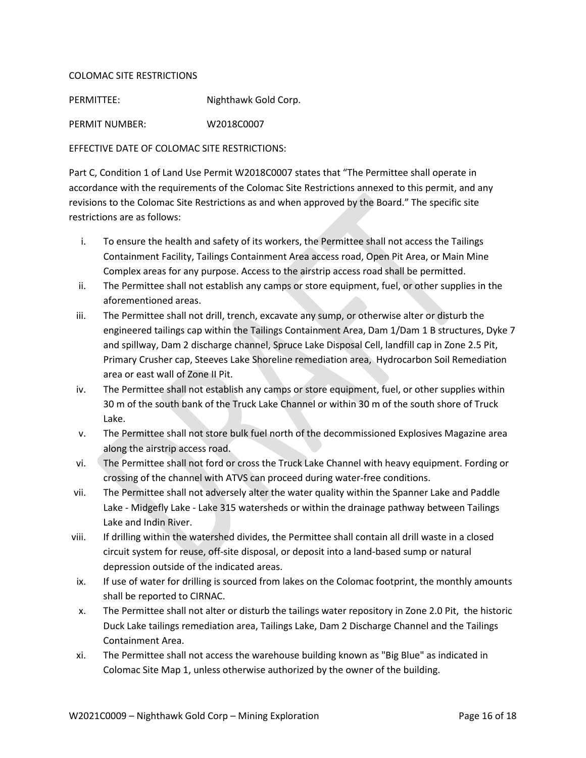# COLOMAC SITE RESTRICTIONS

PERMITTEE: Nighthawk Gold Corp.

PERMIT NUMBER: W2018C0007

EFFECTIVE DATE OF COLOMAC SITE RESTRICTIONS:

Part C, Condition 1 of Land Use Permit W2018C0007 states that "The Permittee shall operate in accordance with the requirements of the Colomac Site Restrictions annexed to this permit, and any revisions to the Colomac Site Restrictions as and when approved by the Board." The specific site restrictions are as follows:

- i. To ensure the health and safety of its workers, the Permittee shall not access the Tailings Containment Facility, Tailings Containment Area access road, Open Pit Area, or Main Mine Complex areas for any purpose. Access to the airstrip access road shall be permitted.
- ii. The Permittee shall not establish any camps or store equipment, fuel, or other supplies in the aforementioned areas.
- iii. The Permittee shall not drill, trench, excavate any sump, or otherwise alter or disturb the engineered tailings cap within the Tailings Containment Area, Dam 1/Dam 1 B structures, Dyke 7 and spillway, Dam 2 discharge channel, Spruce Lake Disposal Cell, landfill cap in Zone 2.5 Pit, Primary Crusher cap, Steeves Lake Shoreline remediation area, Hydrocarbon Soil Remediation area or east wall of Zone II Pit.
- iv. The Permittee shall not establish any camps or store equipment, fuel, or other supplies within 30 m of the south bank of the Truck Lake Channel or within 30 m of the south shore of Truck Lake.
- v. The Permittee shall not store bulk fuel north of the decommissioned Explosives Magazine area along the airstrip access road.
- vi. The Permittee shall not ford or cross the Truck Lake Channel with heavy equipment. Fording or crossing of the channel with ATVS can proceed during water-free conditions.
- vii. The Permittee shall not adversely alter the water quality within the Spanner Lake and Paddle Lake - Midgefly Lake - Lake 315 watersheds or within the drainage pathway between Tailings Lake and Indin River.
- viii. If drilling within the watershed divides, the Permittee shall contain all drill waste in a closed circuit system for reuse, off-site disposal, or deposit into a land-based sump or natural depression outside of the indicated areas.
- ix. If use of water for drilling is sourced from lakes on the Colomac footprint, the monthly amounts shall be reported to CIRNAC.
- x. The Permittee shall not alter or disturb the tailings water repository in Zone 2.0 Pit, the historic Duck Lake tailings remediation area, Tailings Lake, Dam 2 Discharge Channel and the Tailings Containment Area.
- xi. The Permittee shall not access the warehouse building known as "Big Blue" as indicated in Colomac Site Map 1, unless otherwise authorized by the owner of the building.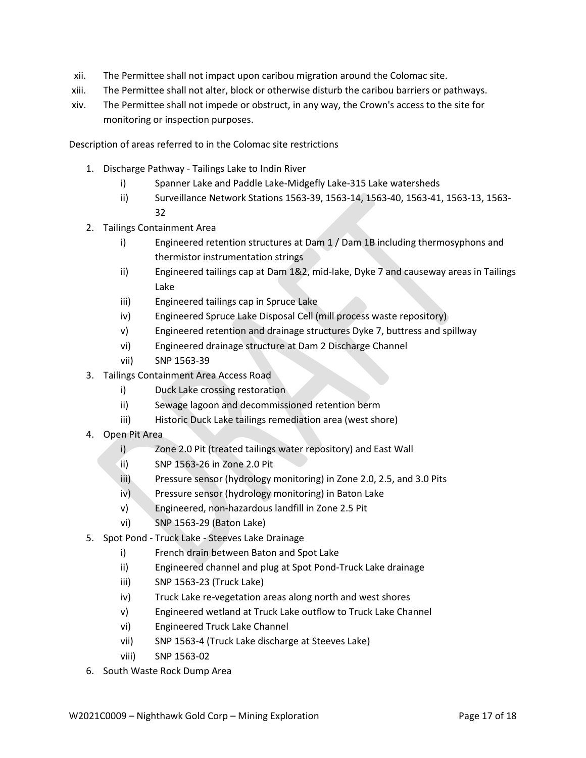- xii. The Permittee shall not impact upon caribou migration around the Colomac site.
- xiii. The Permittee shall not alter, block or otherwise disturb the caribou barriers or pathways.
- xiv. The Permittee shall not impede or obstruct, in any way, the Crown's access to the site for monitoring or inspection purposes.

Description of areas referred to in the Colomac site restrictions

- 1. Discharge Pathway Tailings Lake to Indin River
	- i) Spanner Lake and Paddle Lake-Midgefly Lake-315 Lake watersheds
	- ii) Surveillance Network Stations 1563-39, 1563-14, 1563-40, 1563-41, 1563-13, 1563- 32
- 2. Tailings Containment Area
	- i) Engineered retention structures at Dam 1 / Dam 1B including thermosyphons and thermistor instrumentation strings
	- ii) Engineered tailings cap at Dam 1&2, mid-lake, Dyke 7 and causeway areas in Tailings Lake
	- iii) Engineered tailings cap in Spruce Lake
	- iv) Engineered Spruce Lake Disposal Cell (mill process waste repository)
	- v) Engineered retention and drainage structures Dyke 7, buttress and spillway
	- vi) Engineered drainage structure at Dam 2 Discharge Channel
	- vii) SNP 1563-39
- 3. Tailings Containment Area Access Road
	- i) Duck Lake crossing restoration
	- ii) Sewage lagoon and decommissioned retention berm
	- iii) Historic Duck Lake tailings remediation area (west shore)
- 4. Open Pit Area
	- i) Zone 2.0 Pit (treated tailings water repository) and East Wall
	- ii) SNP 1563-26 in Zone 2.0 Pit
	- iii) Pressure sensor (hydrology monitoring) in Zone 2.0, 2.5, and 3.0 Pits
	- iv) Pressure sensor (hydrology monitoring) in Baton Lake
	- v) Engineered, non-hazardous landfill in Zone 2.5 Pit
	- vi) SNP 1563-29 (Baton Lake)
- 5. Spot Pond Truck Lake Steeves Lake Drainage
	- i) French drain between Baton and Spot Lake
	- ii) Engineered channel and plug at Spot Pond-Truck Lake drainage
	- iii) SNP 1563-23 (Truck Lake)
	- iv) Truck Lake re-vegetation areas along north and west shores
	- v) Engineered wetland at Truck Lake outflow to Truck Lake Channel
	- vi) Engineered Truck Lake Channel
	- vii) SNP 1563-4 (Truck Lake discharge at Steeves Lake)
	- viii) SNP 1563-02
- 6. South Waste Rock Dump Area